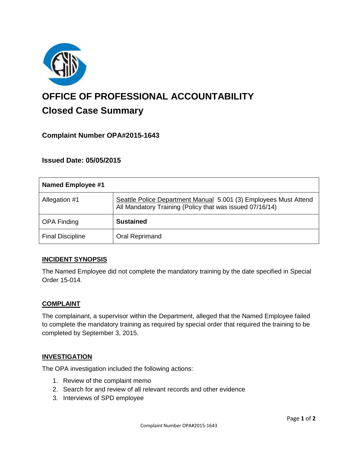

# **OFFICE OF PROFESSIONAL ACCOUNTABILITY Closed Case Summary**

# **Complaint Number OPA#2015-1643**

## **Issued Date: 05/05/2015**

| <b>Named Employee #1</b> |                                                                                                                              |
|--------------------------|------------------------------------------------------------------------------------------------------------------------------|
| Allegation #1            | Seattle Police Department Manual 5.001 (3) Employees Must Attend<br>All Mandatory Training (Policy that was issued 07/16/14) |
| <b>OPA Finding</b>       | <b>Sustained</b>                                                                                                             |
| <b>Final Discipline</b>  | Oral Reprimand                                                                                                               |

#### **INCIDENT SYNOPSIS**

The Named Employee did not complete the mandatory training by the date specified in Special Order 15-014.

#### **COMPLAINT**

The complainant, a supervisor within the Department, alleged that the Named Employee failed to complete the mandatory training as required by special order that required the training to be completed by September 3, 2015.

#### **INVESTIGATION**

The OPA investigation included the following actions:

- 1. Review of the complaint memo
- 2. Search for and review of all relevant records and other evidence
- 3. Interviews of SPD employee